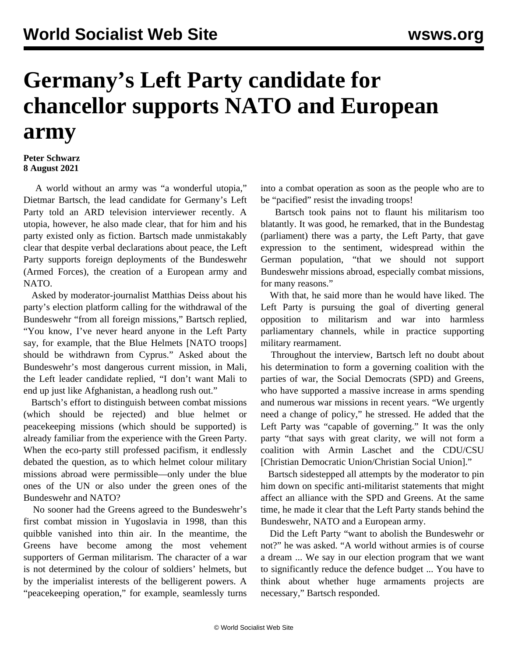## **Germany's Left Party candidate for chancellor supports NATO and European army**

## **Peter Schwarz 8 August 2021**

 A world without an army was "a wonderful utopia," Dietmar Bartsch, the lead candidate for Germany's Left Party told an ARD television interviewer recently. A utopia, however, he also made clear, that for him and his party existed only as fiction. Bartsch made unmistakably clear that despite verbal declarations about peace, the Left Party supports foreign deployments of the Bundeswehr (Armed Forces), the creation of a European army and NATO.

 Asked by moderator-journalist Matthias Deiss about his party's election platform calling for the withdrawal of the Bundeswehr "from all foreign missions," Bartsch replied, "You know, I've never heard anyone in the Left Party say, for example, that the Blue Helmets [NATO troops] should be withdrawn from Cyprus." Asked about the Bundeswehr's most dangerous current mission, in Mali, the Left leader candidate replied, "I don't want Mali to end up just like Afghanistan, a headlong rush out."

 Bartsch's effort to distinguish between combat missions (which should be rejected) and blue helmet or peacekeeping missions (which should be supported) is already familiar from the experience with the Green Party. When the eco-party still professed pacifism, it endlessly debated the question, as to which helmet colour military missions abroad were permissible—only under the blue ones of the UN or also under the green ones of the Bundeswehr and NATO?

 No sooner had the Greens agreed to the Bundeswehr's first combat mission in Yugoslavia in 1998, than this quibble vanished into thin air. In the meantime, the Greens have become among the most vehement supporters of German militarism. The character of a war is not determined by the colour of soldiers' helmets, but by the imperialist interests of the belligerent powers. A "peacekeeping operation," for example, seamlessly turns

into a combat operation as soon as the people who are to be "pacified" resist the invading troops!

 Bartsch took pains not to flaunt his militarism too blatantly. It was good, he remarked, that in the Bundestag (parliament) there was a party, the Left Party, that gave expression to the sentiment, widespread within the German population, "that we should not support Bundeswehr missions abroad, especially combat missions, for many reasons."

 With that, he said more than he would have liked. The Left Party is pursuing the goal of diverting general opposition to militarism and war into harmless parliamentary channels, while in practice supporting military rearmament.

 Throughout the interview, Bartsch left no doubt about his determination to form a governing coalition with the parties of war, the Social Democrats (SPD) and Greens, who have supported a massive increase in arms spending and numerous war missions in recent years. "We urgently need a change of policy," he stressed. He added that the Left Party was "capable of governing." It was the only party "that says with great clarity, we will not form a coalition with Armin Laschet and the CDU/CSU [Christian Democratic Union/Christian Social Union]."

 Bartsch sidestepped all attempts by the moderator to pin him down on specific anti-militarist statements that might affect an alliance with the SPD and Greens. At the same time, he made it clear that the Left Party stands behind the Bundeswehr, NATO and a European army.

 Did the Left Party "want to abolish the Bundeswehr or not?" he was asked. "A world without armies is of course a dream ... We say in our election program that we want to significantly reduce the defence budget ... You have to think about whether huge armaments projects are necessary," Bartsch responded.